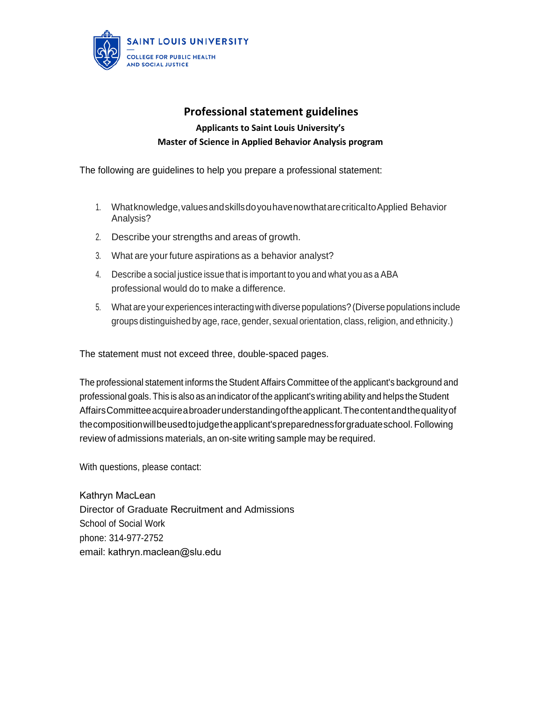

## **Professional statement guidelines Applicants to Saint Louis University's Master of Science in Applied Behavior Analysis program**

The following are guidelines to help you prepare a professional statement:

- 1. What knowledge, values and skills do you have now that are critical to Applied Behavior Analysis?
- 2. Describe your strengths and areas of growth.
- 3. What are your future aspirations as a behavior analyst?
- 4. Describe a social justice issue that is important to you and what you as a ABA professional would do to make a difference.
- 5. What are your experiences interactingwith diverse populations? (Diverse populations include groups distinguished by age, race, gender, sexual orientation, class, religion, and ethnicity.)

The statement must not exceed three, double-spaced pages.

The professional statement informs the Student Affairs Committee of the applicant's background and professional goals. This is also as an indicator of the applicant's writing ability and helps the Student Affairs Committee acquirea broader understanding of the applicant. The content and the quality of the composition willbeused to judge the applicant's preparedness for graduate school. Following review of admissions materials, an on-site writing sample may be required.

With questions, please contact:

Kathryn MacLean Director of Graduate Recruitment and Admissions School of Social Work phone: 314-977-2752 email: [kathryn.maclean@](mailto:ksrichter@slu.edu)slu.edu